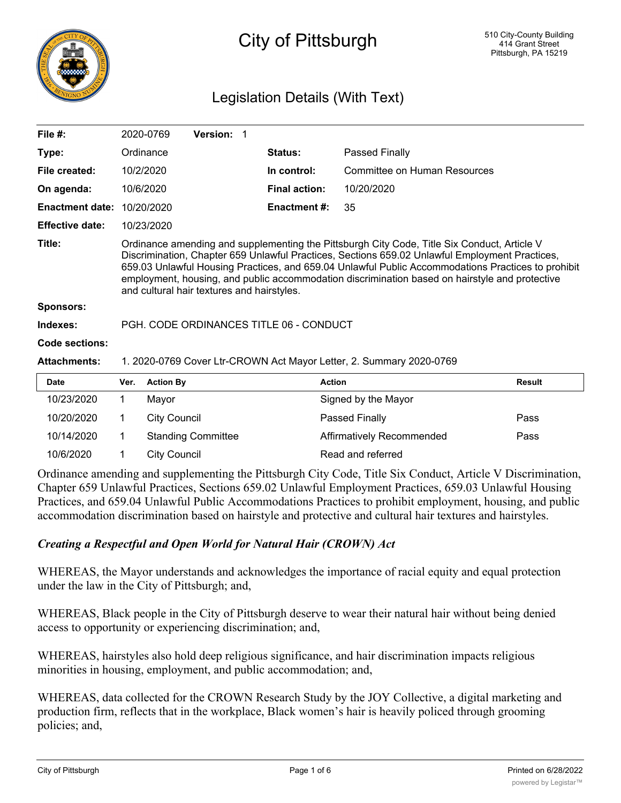

# City of Pittsburgh

# Legislation Details (With Text)

| File $#$ :             |                                                                                                                                                                                                                                                                                                                                                                                                                                                     | 2020-0769           | Version: 1                |  |                      |                              |               |
|------------------------|-----------------------------------------------------------------------------------------------------------------------------------------------------------------------------------------------------------------------------------------------------------------------------------------------------------------------------------------------------------------------------------------------------------------------------------------------------|---------------------|---------------------------|--|----------------------|------------------------------|---------------|
| Type:                  |                                                                                                                                                                                                                                                                                                                                                                                                                                                     | Ordinance           |                           |  | Status:              | Passed Finally               |               |
| File created:          |                                                                                                                                                                                                                                                                                                                                                                                                                                                     | 10/2/2020           |                           |  | In control:          | Committee on Human Resources |               |
| On agenda:             |                                                                                                                                                                                                                                                                                                                                                                                                                                                     | 10/6/2020           |                           |  | <b>Final action:</b> | 10/20/2020                   |               |
| <b>Enactment date:</b> |                                                                                                                                                                                                                                                                                                                                                                                                                                                     | 10/20/2020          |                           |  | <b>Enactment #:</b>  | 35                           |               |
| <b>Effective date:</b> |                                                                                                                                                                                                                                                                                                                                                                                                                                                     | 10/23/2020          |                           |  |                      |                              |               |
| Title:                 | Ordinance amending and supplementing the Pittsburgh City Code, Title Six Conduct, Article V<br>Discrimination, Chapter 659 Unlawful Practices, Sections 659.02 Unlawful Employment Practices,<br>659.03 Unlawful Housing Practices, and 659.04 Unlawful Public Accommodations Practices to prohibit<br>employment, housing, and public accommodation discrimination based on hairstyle and protective<br>and cultural hair textures and hairstyles. |                     |                           |  |                      |                              |               |
| <b>Sponsors:</b>       |                                                                                                                                                                                                                                                                                                                                                                                                                                                     |                     |                           |  |                      |                              |               |
| Indexes:               | PGH, CODE ORDINANCES TITLE 06 - CONDUCT                                                                                                                                                                                                                                                                                                                                                                                                             |                     |                           |  |                      |                              |               |
| Code sections:         |                                                                                                                                                                                                                                                                                                                                                                                                                                                     |                     |                           |  |                      |                              |               |
| <b>Attachments:</b>    | 1. 2020-0769 Cover Ltr-CROWN Act Mayor Letter, 2. Summary 2020-0769                                                                                                                                                                                                                                                                                                                                                                                 |                     |                           |  |                      |                              |               |
| <b>Date</b>            | Ver.                                                                                                                                                                                                                                                                                                                                                                                                                                                | <b>Action By</b>    |                           |  |                      | <b>Action</b>                | <b>Result</b> |
| 10/23/2020             | 1                                                                                                                                                                                                                                                                                                                                                                                                                                                   | Mayor               |                           |  |                      | Signed by the Mayor          |               |
| 10/20/2020             | 1                                                                                                                                                                                                                                                                                                                                                                                                                                                   | <b>City Council</b> |                           |  |                      | Passed Finally               | Pass          |
| 10/14/2020             | 1                                                                                                                                                                                                                                                                                                                                                                                                                                                   |                     | <b>Standing Committee</b> |  |                      | Affirmatively Recommended    | Pass          |
| 10/6/2020              | 1                                                                                                                                                                                                                                                                                                                                                                                                                                                   | <b>City Council</b> |                           |  |                      | Read and referred            |               |

Ordinance amending and supplementing the Pittsburgh City Code, Title Six Conduct, Article V Discrimination, Chapter 659 Unlawful Practices, Sections 659.02 Unlawful Employment Practices, 659.03 Unlawful Housing Practices, and 659.04 Unlawful Public Accommodations Practices to prohibit employment, housing, and public accommodation discrimination based on hairstyle and protective and cultural hair textures and hairstyles.

## *Creating a Respectful and Open World for Natural Hair (CROWN) Act*

WHEREAS, the Mayor understands and acknowledges the importance of racial equity and equal protection under the law in the City of Pittsburgh; and,

WHEREAS, Black people in the City of Pittsburgh deserve to wear their natural hair without being denied access to opportunity or experiencing discrimination; and,

WHEREAS, hairstyles also hold deep religious significance, and hair discrimination impacts religious minorities in housing, employment, and public accommodation; and,

WHEREAS, data collected for the CROWN Research Study by the JOY Collective, a digital marketing and production firm, reflects that in the workplace, Black women's hair is heavily policed through grooming policies; and,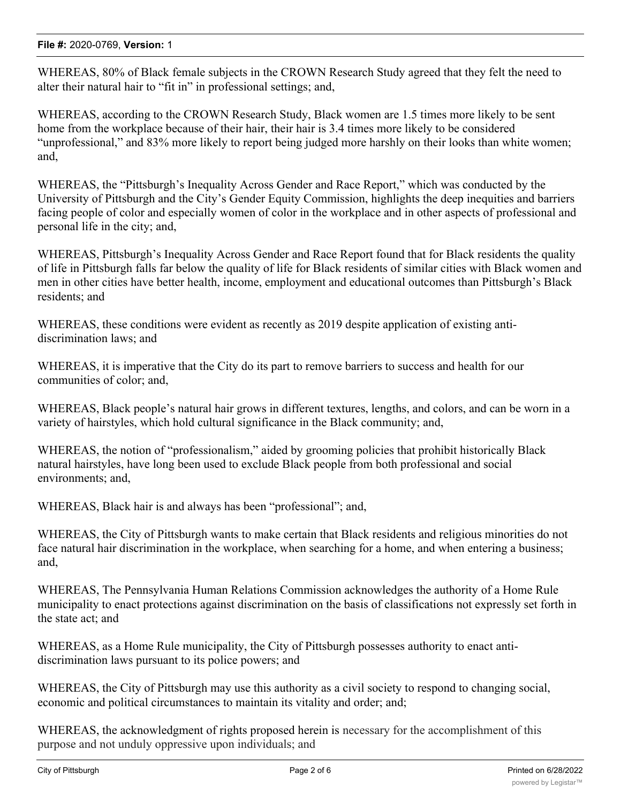#### **File #:** 2020-0769, **Version:** 1

WHEREAS, 80% of Black female subjects in the CROWN Research Study agreed that they felt the need to alter their natural hair to "fit in" in professional settings; and,

WHEREAS, according to the CROWN Research Study, Black women are 1.5 times more likely to be sent home from the workplace because of their hair, their hair is 3.4 times more likely to be considered "unprofessional," and 83% more likely to report being judged more harshly on their looks than white women; and,

WHEREAS, the "Pittsburgh's Inequality Across Gender and Race Report," which was conducted by the University of Pittsburgh and the City's Gender Equity Commission, highlights the deep inequities and barriers facing people of color and especially women of color in the workplace and in other aspects of professional and personal life in the city; and,

WHEREAS, Pittsburgh's Inequality Across Gender and Race Report found that for Black residents the quality of life in Pittsburgh falls far below the quality of life for Black residents of similar cities with Black women and men in other cities have better health, income, employment and educational outcomes than Pittsburgh's Black residents; and

WHEREAS, these conditions were evident as recently as 2019 despite application of existing antidiscrimination laws; and

WHEREAS, it is imperative that the City do its part to remove barriers to success and health for our communities of color; and,

WHEREAS, Black people's natural hair grows in different textures, lengths, and colors, and can be worn in a variety of hairstyles, which hold cultural significance in the Black community; and,

WHEREAS, the notion of "professionalism," aided by grooming policies that prohibit historically Black natural hairstyles, have long been used to exclude Black people from both professional and social environments; and,

WHEREAS, Black hair is and always has been "professional"; and,

WHEREAS, the City of Pittsburgh wants to make certain that Black residents and religious minorities do not face natural hair discrimination in the workplace, when searching for a home, and when entering a business; and,

WHEREAS, The Pennsylvania Human Relations Commission acknowledges the authority of a Home Rule municipality to enact protections against discrimination on the basis of classifications not expressly set forth in the state act; and

WHEREAS, as a Home Rule municipality, the City of Pittsburgh possesses authority to enact antidiscrimination laws pursuant to its police powers; and

WHEREAS, the City of Pittsburgh may use this authority as a civil society to respond to changing social, economic and political circumstances to maintain its vitality and order; and;

WHEREAS, the acknowledgment of rights proposed herein is necessary for the accomplishment of this purpose and not unduly oppressive upon individuals; and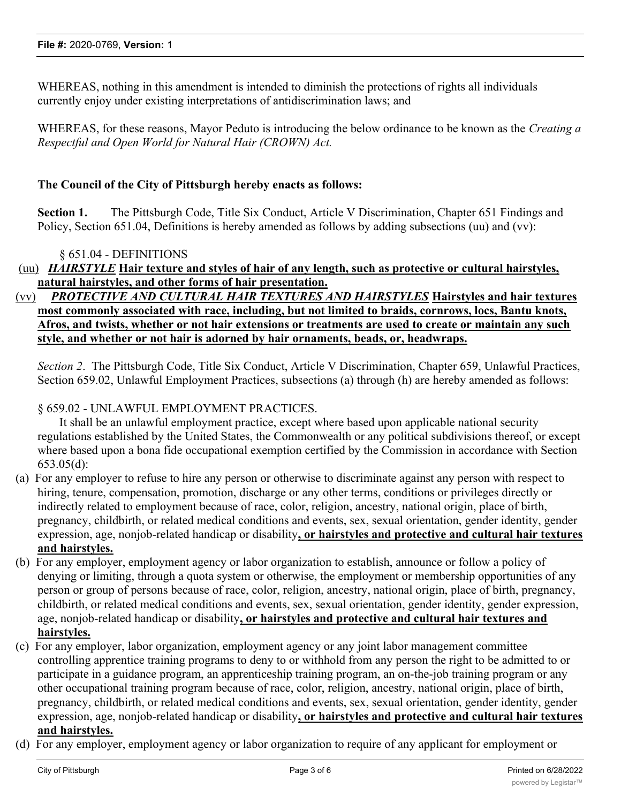WHEREAS, nothing in this amendment is intended to diminish the protections of rights all individuals currently enjoy under existing interpretations of antidiscrimination laws; and

WHEREAS, for these reasons, Mayor Peduto is introducing the below ordinance to be known as the *Creating a Respectful and Open World for Natural Hair (CROWN) Act.*

#### **The Council of the City of Pittsburgh hereby enacts as follows:**

**Section 1.** The Pittsburgh Code, Title Six Conduct, Article V Discrimination, Chapter 651 Findings and Policy, Section 651.04, Definitions is hereby amended as follows by adding subsections (uu) and (vv):

#### § 651.04 - DEFINITIONS

(uu) *HAIRSTYLE* **Hair texture and styles of hair of any length, such as protective or cultural hairstyles, natural hairstyles, and other forms of hair presentation.**

## (vv) *PROTECTIVE AND CULTURAL HAIR TEXTURES AND HAIRSTYLES* **Hairstyles and hair textures most commonly associated with race, including, but not limited to braids, cornrows, locs, Bantu knots, Afros, and twists, whether or not hair extensions or treatments are used to create or maintain any such style, and whether or not hair is adorned by hair ornaments, beads, or, headwraps.**

*Section 2*. The Pittsburgh Code, Title Six Conduct, Article V Discrimination, Chapter 659, Unlawful Practices, Section 659.02, Unlawful Employment Practices, subsections (a) through (h) are hereby amended as follows:

#### § 659.02 - UNLAWFUL EMPLOYMENT PRACTICES.

It shall be an unlawful employment practice, except where based upon applicable national security regulations established by the United States, the Commonwealth or any political subdivisions thereof, or except where based upon a bona fide occupational exemption certified by the Commission in accordance with Section 653.05(d):

- (a) For any employer to refuse to hire any person or otherwise to discriminate against any person with respect to hiring, tenure, compensation, promotion, discharge or any other terms, conditions or privileges directly or indirectly related to employment because of race, color, religion, ancestry, national origin, place of birth, pregnancy, childbirth, or related medical conditions and events, sex, sexual orientation, gender identity, gender expression, age, nonjob-related handicap or disability**, or hairstyles and protective and cultural hair textures and hairstyles.**
- (b) For any employer, employment agency or labor organization to establish, announce or follow a policy of denying or limiting, through a quota system or otherwise, the employment or membership opportunities of any person or group of persons because of race, color, religion, ancestry, national origin, place of birth, pregnancy, childbirth, or related medical conditions and events, sex, sexual orientation, gender identity, gender expression, age, nonjob-related handicap or disability**, or hairstyles and protective and cultural hair textures and hairstyles.**
- (c) For any employer, labor organization, employment agency or any joint labor management committee controlling apprentice training programs to deny to or withhold from any person the right to be admitted to or participate in a guidance program, an apprenticeship training program, an on-the-job training program or any other occupational training program because of race, color, religion, ancestry, national origin, place of birth, pregnancy, childbirth, or related medical conditions and events, sex, sexual orientation, gender identity, gender expression, age, nonjob-related handicap or disability**, or hairstyles and protective and cultural hair textures and hairstyles.**
- (d) For any employer, employment agency or labor organization to require of any applicant for employment or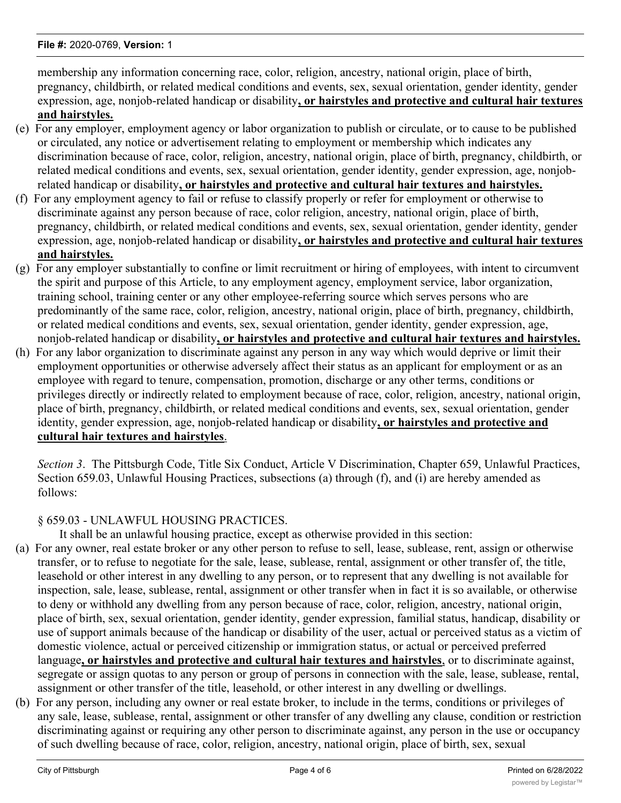membership any information concerning race, color, religion, ancestry, national origin, place of birth, pregnancy, childbirth, or related medical conditions and events, sex, sexual orientation, gender identity, gender expression, age, nonjob-related handicap or disability**, or hairstyles and protective and cultural hair textures and hairstyles.**

- (e) For any employer, employment agency or labor organization to publish or circulate, or to cause to be published or circulated, any notice or advertisement relating to employment or membership which indicates any discrimination because of race, color, religion, ancestry, national origin, place of birth, pregnancy, childbirth, or related medical conditions and events, sex, sexual orientation, gender identity, gender expression, age, nonjobrelated handicap or disability**, or hairstyles and protective and cultural hair textures and hairstyles.**
- (f) For any employment agency to fail or refuse to classify properly or refer for employment or otherwise to discriminate against any person because of race, color religion, ancestry, national origin, place of birth, pregnancy, childbirth, or related medical conditions and events, sex, sexual orientation, gender identity, gender expression, age, nonjob-related handicap or disability**, or hairstyles and protective and cultural hair textures and hairstyles.**
- (g) For any employer substantially to confine or limit recruitment or hiring of employees, with intent to circumvent the spirit and purpose of this Article, to any employment agency, employment service, labor organization, training school, training center or any other employee-referring source which serves persons who are predominantly of the same race, color, religion, ancestry, national origin, place of birth, pregnancy, childbirth, or related medical conditions and events, sex, sexual orientation, gender identity, gender expression, age, nonjob-related handicap or disability**, or hairstyles and protective and cultural hair textures and hairstyles.**
- (h) For any labor organization to discriminate against any person in any way which would deprive or limit their employment opportunities or otherwise adversely affect their status as an applicant for employment or as an employee with regard to tenure, compensation, promotion, discharge or any other terms, conditions or privileges directly or indirectly related to employment because of race, color, religion, ancestry, national origin, place of birth, pregnancy, childbirth, or related medical conditions and events, sex, sexual orientation, gender identity, gender expression, age, nonjob-related handicap or disability**, or hairstyles and protective and cultural hair textures and hairstyles**.

*Section 3*. The Pittsburgh Code, Title Six Conduct, Article V Discrimination, Chapter 659, Unlawful Practices, Section 659.03, Unlawful Housing Practices, subsections (a) through (f), and (i) are hereby amended as follows:

## § 659.03 - UNLAWFUL HOUSING PRACTICES.

It shall be an unlawful housing practice, except as otherwise provided in this section:

- (a) For any owner, real estate broker or any other person to refuse to sell, lease, sublease, rent, assign or otherwise transfer, or to refuse to negotiate for the sale, lease, sublease, rental, assignment or other transfer of, the title, leasehold or other interest in any dwelling to any person, or to represent that any dwelling is not available for inspection, sale, lease, sublease, rental, assignment or other transfer when in fact it is so available, or otherwise to deny or withhold any dwelling from any person because of race, color, religion, ancestry, national origin, place of birth, sex, sexual orientation, gender identity, gender expression, familial status, handicap, disability or use of support animals because of the handicap or disability of the user, actual or perceived status as a victim of domestic violence, actual or perceived citizenship or immigration status, or actual or perceived preferred language**, or hairstyles and protective and cultural hair textures and hairstyles**, or to discriminate against, segregate or assign quotas to any person or group of persons in connection with the sale, lease, sublease, rental, assignment or other transfer of the title, leasehold, or other interest in any dwelling or dwellings.
- (b) For any person, including any owner or real estate broker, to include in the terms, conditions or privileges of any sale, lease, sublease, rental, assignment or other transfer of any dwelling any clause, condition or restriction discriminating against or requiring any other person to discriminate against, any person in the use or occupancy of such dwelling because of race, color, religion, ancestry, national origin, place of birth, sex, sexual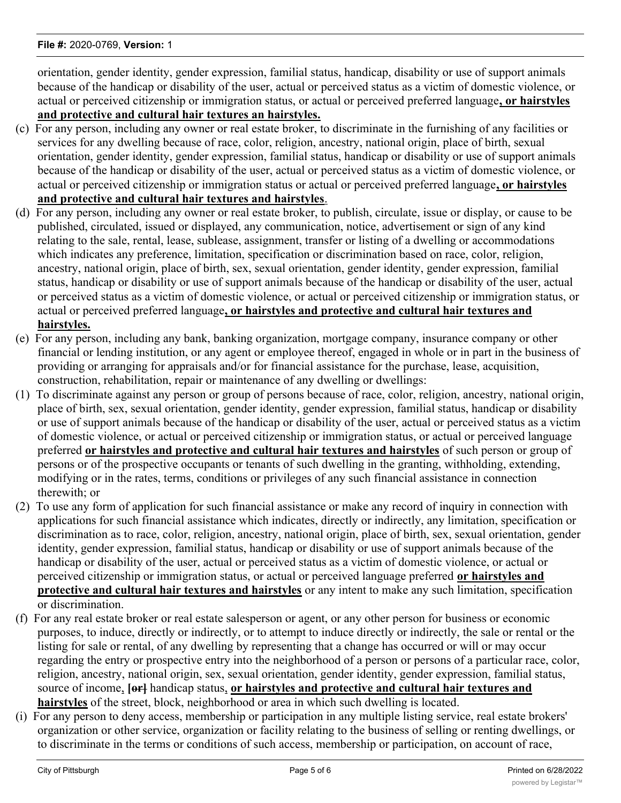orientation, gender identity, gender expression, familial status, handicap, disability or use of support animals because of the handicap or disability of the user, actual or perceived status as a victim of domestic violence, or actual or perceived citizenship or immigration status, or actual or perceived preferred language**, or hairstyles and protective and cultural hair textures an hairstyles.**

- (c) For any person, including any owner or real estate broker, to discriminate in the furnishing of any facilities or services for any dwelling because of race, color, religion, ancestry, national origin, place of birth, sexual orientation, gender identity, gender expression, familial status, handicap or disability or use of support animals because of the handicap or disability of the user, actual or perceived status as a victim of domestic violence, or actual or perceived citizenship or immigration status or actual or perceived preferred language**, or hairstyles and protective and cultural hair textures and hairstyles**.
- (d) For any person, including any owner or real estate broker, to publish, circulate, issue or display, or cause to be published, circulated, issued or displayed, any communication, notice, advertisement or sign of any kind relating to the sale, rental, lease, sublease, assignment, transfer or listing of a dwelling or accommodations which indicates any preference, limitation, specification or discrimination based on race, color, religion, ancestry, national origin, place of birth, sex, sexual orientation, gender identity, gender expression, familial status, handicap or disability or use of support animals because of the handicap or disability of the user, actual or perceived status as a victim of domestic violence, or actual or perceived citizenship or immigration status, or actual or perceived preferred language**, or hairstyles and protective and cultural hair textures and hairstyles.**
- (e) For any person, including any bank, banking organization, mortgage company, insurance company or other financial or lending institution, or any agent or employee thereof, engaged in whole or in part in the business of providing or arranging for appraisals and/or for financial assistance for the purchase, lease, acquisition, construction, rehabilitation, repair or maintenance of any dwelling or dwellings:
- (1) To discriminate against any person or group of persons because of race, color, religion, ancestry, national origin, place of birth, sex, sexual orientation, gender identity, gender expression, familial status, handicap or disability or use of support animals because of the handicap or disability of the user, actual or perceived status as a victim of domestic violence, or actual or perceived citizenship or immigration status, or actual or perceived language preferred **or hairstyles and protective and cultural hair textures and hairstyles** of such person or group of persons or of the prospective occupants or tenants of such dwelling in the granting, withholding, extending, modifying or in the rates, terms, conditions or privileges of any such financial assistance in connection therewith; or
- (2) To use any form of application for such financial assistance or make any record of inquiry in connection with applications for such financial assistance which indicates, directly or indirectly, any limitation, specification or discrimination as to race, color, religion, ancestry, national origin, place of birth, sex, sexual orientation, gender identity, gender expression, familial status, handicap or disability or use of support animals because of the handicap or disability of the user, actual or perceived status as a victim of domestic violence, or actual or perceived citizenship or immigration status, or actual or perceived language preferred **or hairstyles and protective and cultural hair textures and hairstyles** or any intent to make any such limitation, specification or discrimination.
- (f) For any real estate broker or real estate salesperson or agent, or any other person for business or economic purposes, to induce, directly or indirectly, or to attempt to induce directly or indirectly, the sale or rental or the listing for sale or rental, of any dwelling by representing that a change has occurred or will or may occur regarding the entry or prospective entry into the neighborhood of a person or persons of a particular race, color, religion, ancestry, national origin, sex, sexual orientation, gender identity, gender expression, familial status, source of income, [or] handicap status, or hairstyles and protective and cultural hair textures and **hairstyles** of the street, block, neighborhood or area in which such dwelling is located.
- (i) For any person to deny access, membership or participation in any multiple listing service, real estate brokers' organization or other service, organization or facility relating to the business of selling or renting dwellings, or to discriminate in the terms or conditions of such access, membership or participation, on account of race,